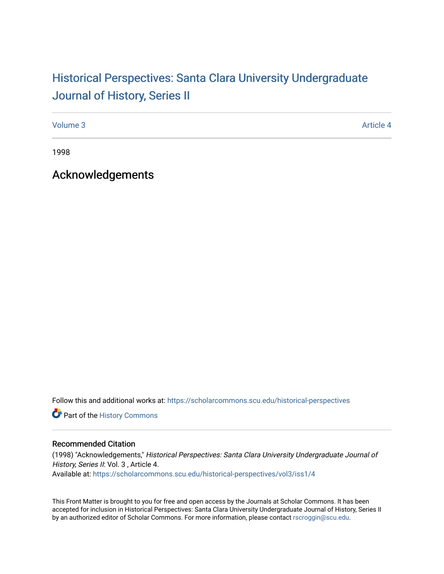## Historical Perspectiv[es: Santa Clara University Under](https://scholarcommons.scu.edu/historical-perspectives)graduate [Journal of History, Series II](https://scholarcommons.scu.edu/historical-perspectives)

[Volume 3](https://scholarcommons.scu.edu/historical-perspectives/vol3) Article 4

1998

Acknowledgements

Follow this and additional works at: [https://scholarcommons.scu.edu/historical-perspectives](https://scholarcommons.scu.edu/historical-perspectives?utm_source=scholarcommons.scu.edu%2Fhistorical-perspectives%2Fvol3%2Fiss1%2F4&utm_medium=PDF&utm_campaign=PDFCoverPages) 

Part of the [History Commons](http://network.bepress.com/hgg/discipline/489?utm_source=scholarcommons.scu.edu%2Fhistorical-perspectives%2Fvol3%2Fiss1%2F4&utm_medium=PDF&utm_campaign=PDFCoverPages) 

## Recommended Citation

(1998) "Acknowledgements," Historical Perspectives: Santa Clara University Undergraduate Journal of History, Series II: Vol. 3, Article 4. Available at: [https://scholarcommons.scu.edu/historical-perspectives/vol3/iss1/4](https://scholarcommons.scu.edu/historical-perspectives/vol3/iss1/4?utm_source=scholarcommons.scu.edu%2Fhistorical-perspectives%2Fvol3%2Fiss1%2F4&utm_medium=PDF&utm_campaign=PDFCoverPages) 

This Front Matter is brought to you for free and open access by the Journals at Scholar Commons. It has been accepted for inclusion in Historical Perspectives: Santa Clara University Undergraduate Journal of History, Series II by an authorized editor of Scholar Commons. For more information, please contact [rscroggin@scu.edu.](mailto:rscroggin@scu.edu)